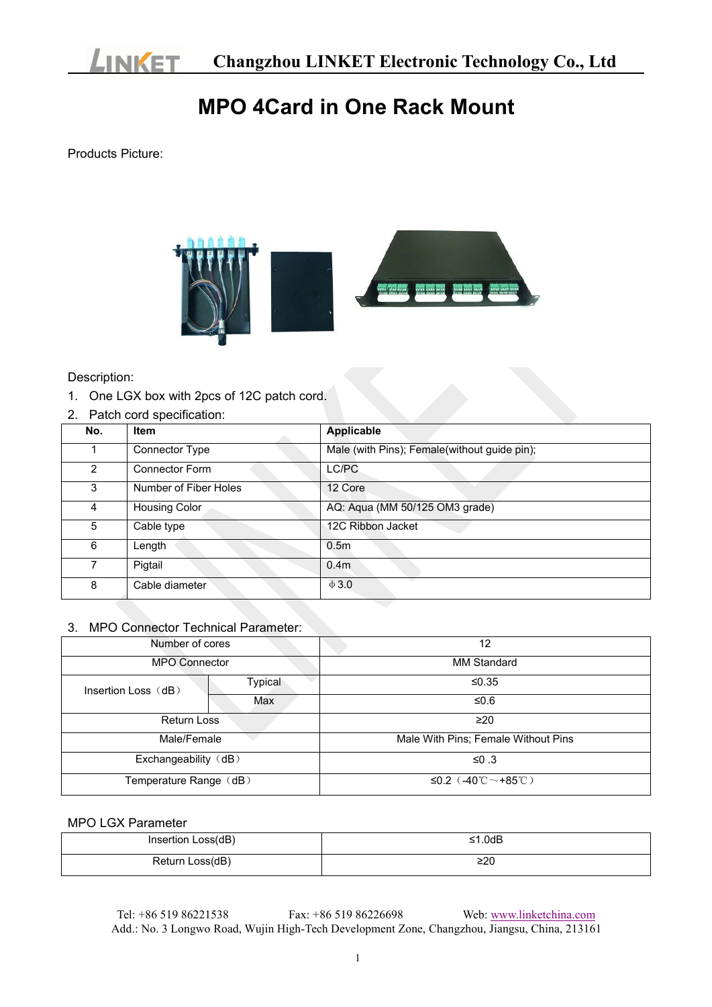

## **MPO 4Card in One Rack Mount**

Products Picture:



Description:

- 1. One LGX box with 2pcs of 12C patch cord.
- 2. Patch cord specification:

| No.            | Item                  | <b>Applicable</b>                            |
|----------------|-----------------------|----------------------------------------------|
|                | Connector Type        | Male (with Pins); Female(without guide pin); |
| $\overline{2}$ | <b>Connector Form</b> | LC/PC                                        |
| 3              | Number of Fiber Holes | 12 Core                                      |
| 4              | <b>Housing Color</b>  | AQ: Aqua (MM 50/125 OM3 grade)               |
| 5              | Cable type            | 12C Ribbon Jacket                            |
| 6              | Length                | 0.5 <sub>m</sub>                             |
| $\overline{7}$ | Pigtail               | 0.4 <sub>m</sub>                             |
| 8              | Cable diameter        | $\Phi$ 3.0                                   |

## 3. MPO Connector Technical Parameter:

| Number of cores        |         | 12                                                    |
|------------------------|---------|-------------------------------------------------------|
| <b>MPO Connector</b>   |         | <b>MM Standard</b>                                    |
| Insertion Loss (dB)    | Typical | ≤0.35                                                 |
|                        | Max     | ≤0.6                                                  |
| Return Loss            |         | $\geq$ 20                                             |
| Male/Female            |         | Male With Pins; Female Without Pins                   |
| Exchangeability (dB)   |         | ≤0 .3                                                 |
| Temperature Range (dB) |         | ≤0.2 $(.40^{\circ}\text{C} \sim +85^{\circ}\text{C})$ |

## MPO LGX Parameter

| Insertion Loss(dB) | ≤1.0dB |
|--------------------|--------|
| Return Loss(dB)    | ≥20    |

Tel: +86 519 86221538 Fax: +86 519 86226698 Web: [www.linketchina.com](http://www.linketchina.com/) Add.: No. 3 Longwo Road, Wujin High-Tech Development Zone, Changzhou, Jiangsu, China, 213161